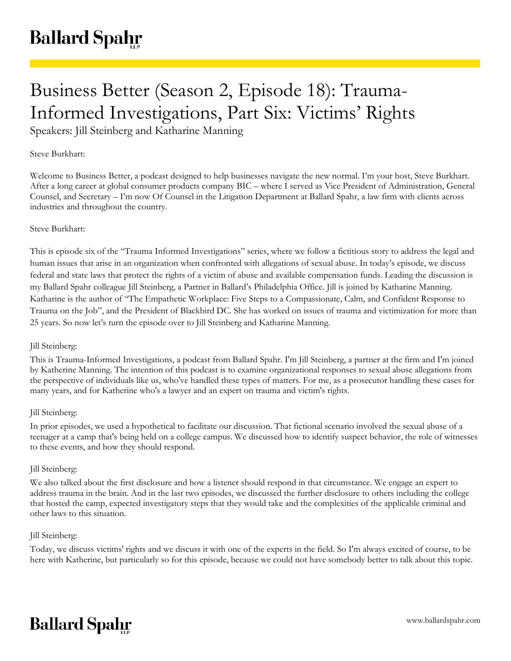# Business Better (Season 2, Episode 18): Trauma-Informed Investigations, Part Six: Victims' Rights

Speakers: Jill Steinberg and Katharine Manning

## Steve Burkhart:

Welcome to Business Better, a podcast designed to help businesses navigate the new normal. I'm your host, Steve Burkhart. After a long career at global consumer products company BIC – where I served as Vice President of Administration, General Counsel, and Secretary – I'm now Of Counsel in the Litigation Department at Ballard Spahr, a law firm with clients across industries and throughout the country.

## Steve Burkhart:

This is episode six of the "Trauma Informed Investigations" series, where we follow a fictitious story to address the legal and human issues that arise in an organization when confronted with allegations of sexual abuse. In today's episode, we discuss federal and state laws that protect the rights of a victim of abuse and available compensation funds. Leading the discussion is my Ballard Spahr colleague Jill Steinberg, a Partner in Ballard's Philadelphia Office. Jill is joined by Katharine Manning. Katharine is the author of "The Empathetic Workplace: Five Steps to a Compassionate, Calm, and Confident Response to Trauma on the Job", and the President of Blackbird DC. She has worked on issues of trauma and victimization for more than 25 years. So now let's turn the episode over to Jill Steinberg and Katharine Manning.

#### Jill Steinberg:

This is Trauma-Informed Investigations, a podcast from Ballard Spahr. I'm Jill Steinberg, a partner at the firm and I'm joined by Katherine Manning. The intention of this podcast is to examine organizational responses to sexual abuse allegations from the perspective of individuals like us, who've handled these types of matters. For me, as a prosecutor handling these cases for many years, and for Katherine who's a lawyer and an expert on trauma and victim's rights.

## Jill Steinberg:

In prior episodes, we used a hypothetical to facilitate our discussion. That fictional scenario involved the sexual abuse of a teenager at a camp that's being held on a college campus. We discussed how to identify suspect behavior, the role of witnesses to these events, and how they should respond.

## Jill Steinberg:

We also talked about the first disclosure and how a listener should respond in that circumstance. We engage an expert to address trauma in the brain. And in the last two episodes, we discussed the further disclosure to others including the college that hosted the camp, expected investigatory steps that they would take and the complexities of the applicable criminal and other laws to this situation.

## Jill Steinberg:

Today, we discuss victims' rights and we discuss it with one of the experts in the field. So I'm always excited of course, to be here with Katherine, but particularly so for this episode, because we could not have somebody better to talk about this topic.

## **Ballard Spahr**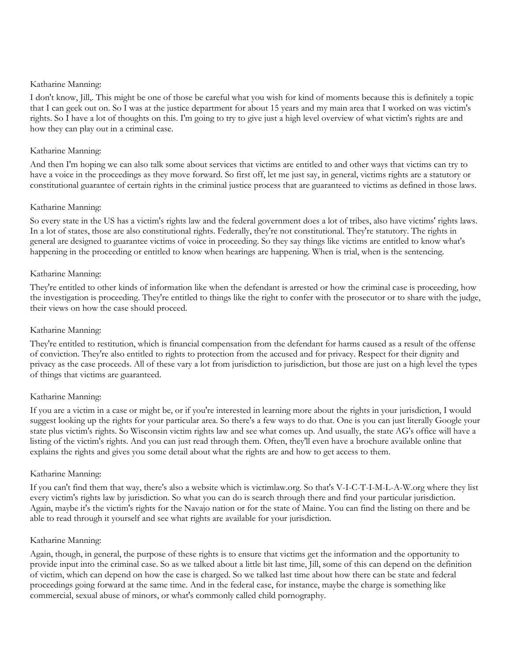I don't know, Jill,. This might be one of those be careful what you wish for kind of moments because this is definitely a topic that I can geek out on. So I was at the justice department for about 15 years and my main area that I worked on was victim's rights. So I have a lot of thoughts on this. I'm going to try to give just a high level overview of what victim's rights are and how they can play out in a criminal case.

## Katharine Manning:

And then I'm hoping we can also talk some about services that victims are entitled to and other ways that victims can try to have a voice in the proceedings as they move forward. So first off, let me just say, in general, victims rights are a statutory or constitutional guarantee of certain rights in the criminal justice process that are guaranteed to victims as defined in those laws.

## Katharine Manning:

So every state in the US has a victim's rights law and the federal government does a lot of tribes, also have victims' rights laws. In a lot of states, those are also constitutional rights. Federally, they're not constitutional. They're statutory. The rights in general are designed to guarantee victims of voice in proceeding. So they say things like victims are entitled to know what's happening in the proceeding or entitled to know when hearings are happening. When is trial, when is the sentencing.

## Katharine Manning:

They're entitled to other kinds of information like when the defendant is arrested or how the criminal case is proceeding, how the investigation is proceeding. They're entitled to things like the right to confer with the prosecutor or to share with the judge, their views on how the case should proceed.

#### Katharine Manning:

They're entitled to restitution, which is financial compensation from the defendant for harms caused as a result of the offense of conviction. They're also entitled to rights to protection from the accused and for privacy. Respect for their dignity and privacy as the case proceeds. All of these vary a lot from jurisdiction to jurisdiction, but those are just on a high level the types of things that victims are guaranteed.

## Katharine Manning:

If you are a victim in a case or might be, or if you're interested in learning more about the rights in your jurisdiction, I would suggest looking up the rights for your particular area. So there's a few ways to do that. One is you can just literally Google your state plus victim's rights. So Wisconsin victim rights law and see what comes up. And usually, the state AG's office will have a listing of the victim's rights. And you can just read through them. Often, they'll even have a brochure available online that explains the rights and gives you some detail about what the rights are and how to get access to them.

#### Katharine Manning:

If you can't find them that way, there's also a website which is victimlaw.org. So that's V-I-C-T-I-M-L-A-W.org where they list every victim's rights law by jurisdiction. So what you can do is search through there and find your particular jurisdiction. Again, maybe it's the victim's rights for the Navajo nation or for the state of Maine. You can find the listing on there and be able to read through it yourself and see what rights are available for your jurisdiction.

#### Katharine Manning:

Again, though, in general, the purpose of these rights is to ensure that victims get the information and the opportunity to provide input into the criminal case. So as we talked about a little bit last time, Jill, some of this can depend on the definition of victim, which can depend on how the case is charged. So we talked last time about how there can be state and federal proceedings going forward at the same time. And in the federal case, for instance, maybe the charge is something like commercial, sexual abuse of minors, or what's commonly called child pornography.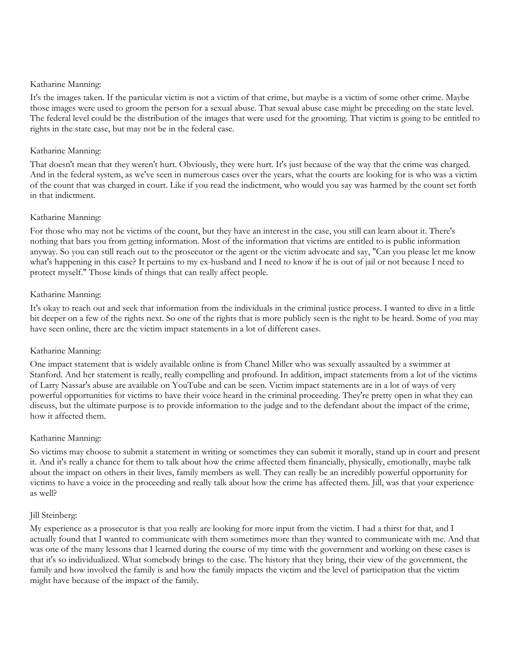It's the images taken. If the particular victim is not a victim of that crime, but maybe is a victim of some other crime. Maybe those images were used to groom the person for a sexual abuse. That sexual abuse case might be preceding on the state level. The federal level could be the distribution of the images that were used for the grooming. That victim is going to be entitled to rights in the state case, but may not be in the federal case.

## Katharine Manning:

That doesn't mean that they weren't hurt. Obviously, they were hurt. It's just because of the way that the crime was charged. And in the federal system, as we've seen in numerous cases over the years, what the courts are looking for is who was a victim of the count that was charged in court. Like if you read the indictment, who would you say was harmed by the count set forth in that indictment.

## Katharine Manning:

For those who may not be victims of the count, but they have an interest in the case, you still can learn about it. There's nothing that bars you from getting information. Most of the information that victims are entitled to is public information anyway. So you can still reach out to the prosecutor or the agent or the victim advocate and say, "Can you please let me know what's happening in this case? It pertains to my ex-husband and I need to know if he is out of jail or not because I need to protect myself." Those kinds of things that can really affect people.

## Katharine Manning:

It's okay to reach out and seek that information from the individuals in the criminal justice process. I wanted to dive in a little bit deeper on a few of the rights next. So one of the rights that is more publicly seen is the right to be heard. Some of you may have seen online, there are the victim impact statements in a lot of different cases.

## Katharine Manning:

One impact statement that is widely available online is from Chanel Miller who was sexually assaulted by a swimmer at Stanford. And her statement is really, really compelling and profound. In addition, impact statements from a lot of the victims of Larry Nassar's abuse are available on YouTube and can be seen. Victim impact statements are in a lot of ways of very powerful opportunities for victims to have their voice heard in the criminal proceeding. They're pretty open in what they can discuss, but the ultimate purpose is to provide information to the judge and to the defendant about the impact of the crime, how it affected them.

## Katharine Manning:

So victims may choose to submit a statement in writing or sometimes they can submit it morally, stand up in court and present it. And it's really a chance for them to talk about how the crime affected them financially, physically, emotionally, maybe talk about the impact on others in their lives, family members as well. They can really be an incredibly powerful opportunity for victims to have a voice in the proceeding and really talk about how the crime has affected them. Jill, was that your experience as well?

## Jill Steinberg:

My experience as a prosecutor is that you really are looking for more input from the victim. I had a thirst for that, and I actually found that I wanted to communicate with them sometimes more than they wanted to communicate with me. And that was one of the many lessons that I learned during the course of my time with the government and working on these cases is that it's so individualized. What somebody brings to the case. The history that they bring, their view of the government, the family and how involved the family is and how the family impacts the victim and the level of participation that the victim might have because of the impact of the family.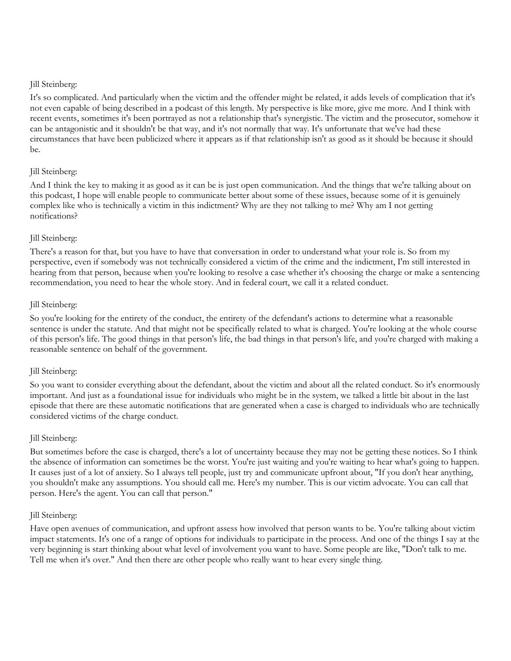It's so complicated. And particularly when the victim and the offender might be related, it adds levels of complication that it's not even capable of being described in a podcast of this length. My perspective is like more, give me more. And I think with recent events, sometimes it's been portrayed as not a relationship that's synergistic. The victim and the prosecutor, somehow it can be antagonistic and it shouldn't be that way, and it's not normally that way. It's unfortunate that we've had these circumstances that have been publicized where it appears as if that relationship isn't as good as it should be because it should be.

## Jill Steinberg:

And I think the key to making it as good as it can be is just open communication. And the things that we're talking about on this podcast, I hope will enable people to communicate better about some of these issues, because some of it is genuinely complex like who is technically a victim in this indictment? Why are they not talking to me? Why am I not getting notifications?

## Jill Steinberg:

There's a reason for that, but you have to have that conversation in order to understand what your role is. So from my perspective, even if somebody was not technically considered a victim of the crime and the indictment, I'm still interested in hearing from that person, because when you're looking to resolve a case whether it's choosing the charge or make a sentencing recommendation, you need to hear the whole story. And in federal court, we call it a related conduct.

#### Jill Steinberg:

So you're looking for the entirety of the conduct, the entirety of the defendant's actions to determine what a reasonable sentence is under the statute. And that might not be specifically related to what is charged. You're looking at the whole course of this person's life. The good things in that person's life, the bad things in that person's life, and you're charged with making a reasonable sentence on behalf of the government.

## Jill Steinberg:

So you want to consider everything about the defendant, about the victim and about all the related conduct. So it's enormously important. And just as a foundational issue for individuals who might be in the system, we talked a little bit about in the last episode that there are these automatic notifications that are generated when a case is charged to individuals who are technically considered victims of the charge conduct.

## Jill Steinberg:

But sometimes before the case is charged, there's a lot of uncertainty because they may not be getting these notices. So I think the absence of information can sometimes be the worst. You're just waiting and you're waiting to hear what's going to happen. It causes just of a lot of anxiety. So I always tell people, just try and communicate upfront about, "If you don't hear anything, you shouldn't make any assumptions. You should call me. Here's my number. This is our victim advocate. You can call that person. Here's the agent. You can call that person."

## Jill Steinberg:

Have open avenues of communication, and upfront assess how involved that person wants to be. You're talking about victim impact statements. It's one of a range of options for individuals to participate in the process. And one of the things I say at the very beginning is start thinking about what level of involvement you want to have. Some people are like, "Don't talk to me. Tell me when it's over." And then there are other people who really want to hear every single thing.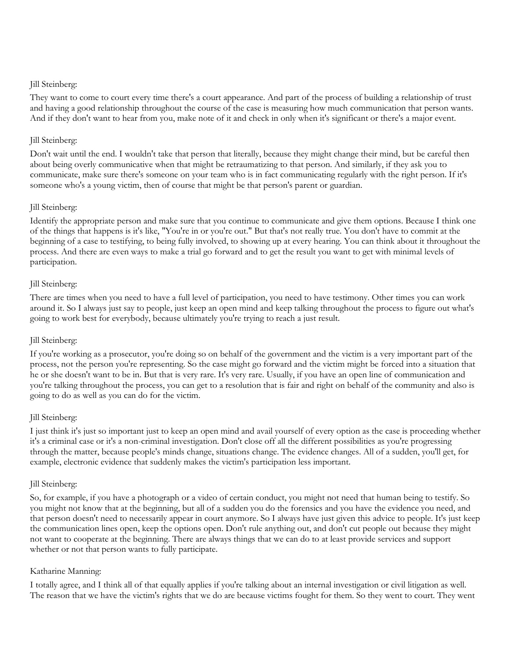They want to come to court every time there's a court appearance. And part of the process of building a relationship of trust and having a good relationship throughout the course of the case is measuring how much communication that person wants. And if they don't want to hear from you, make note of it and check in only when it's significant or there's a major event.

## Jill Steinberg:

Don't wait until the end. I wouldn't take that person that literally, because they might change their mind, but be careful then about being overly communicative when that might be retraumatizing to that person. And similarly, if they ask you to communicate, make sure there's someone on your team who is in fact communicating regularly with the right person. If it's someone who's a young victim, then of course that might be that person's parent or guardian.

## Jill Steinberg:

Identify the appropriate person and make sure that you continue to communicate and give them options. Because I think one of the things that happens is it's like, "You're in or you're out." But that's not really true. You don't have to commit at the beginning of a case to testifying, to being fully involved, to showing up at every hearing. You can think about it throughout the process. And there are even ways to make a trial go forward and to get the result you want to get with minimal levels of participation.

## Jill Steinberg:

There are times when you need to have a full level of participation, you need to have testimony. Other times you can work around it. So I always just say to people, just keep an open mind and keep talking throughout the process to figure out what's going to work best for everybody, because ultimately you're trying to reach a just result.

## Jill Steinberg:

If you're working as a prosecutor, you're doing so on behalf of the government and the victim is a very important part of the process, not the person you're representing. So the case might go forward and the victim might be forced into a situation that he or she doesn't want to be in. But that is very rare. It's very rare. Usually, if you have an open line of communication and you're talking throughout the process, you can get to a resolution that is fair and right on behalf of the community and also is going to do as well as you can do for the victim.

## Jill Steinberg:

I just think it's just so important just to keep an open mind and avail yourself of every option as the case is proceeding whether it's a criminal case or it's a non-criminal investigation. Don't close off all the different possibilities as you're progressing through the matter, because people's minds change, situations change. The evidence changes. All of a sudden, you'll get, for example, electronic evidence that suddenly makes the victim's participation less important.

## Jill Steinberg:

So, for example, if you have a photograph or a video of certain conduct, you might not need that human being to testify. So you might not know that at the beginning, but all of a sudden you do the forensics and you have the evidence you need, and that person doesn't need to necessarily appear in court anymore. So I always have just given this advice to people. It's just keep the communication lines open, keep the options open. Don't rule anything out, and don't cut people out because they might not want to cooperate at the beginning. There are always things that we can do to at least provide services and support whether or not that person wants to fully participate.

## Katharine Manning:

I totally agree, and I think all of that equally applies if you're talking about an internal investigation or civil litigation as well. The reason that we have the victim's rights that we do are because victims fought for them. So they went to court. They went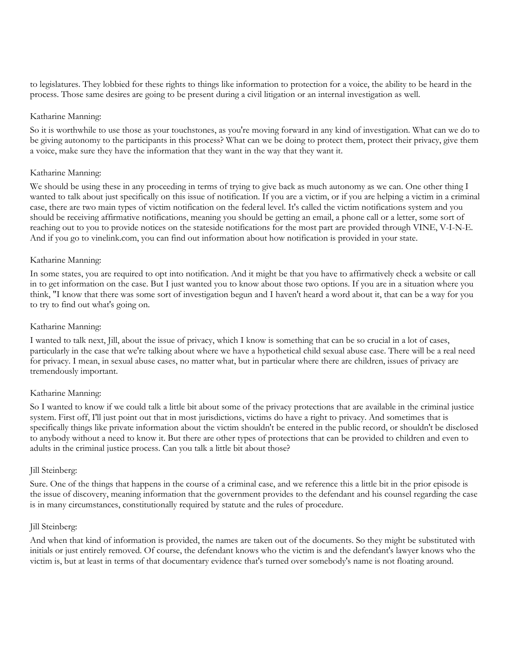to legislatures. They lobbied for these rights to things like information to protection for a voice, the ability to be heard in the process. Those same desires are going to be present during a civil litigation or an internal investigation as well.

#### Katharine Manning:

So it is worthwhile to use those as your touchstones, as you're moving forward in any kind of investigation. What can we do to be giving autonomy to the participants in this process? What can we be doing to protect them, protect their privacy, give them a voice, make sure they have the information that they want in the way that they want it.

## Katharine Manning:

We should be using these in any proceeding in terms of trying to give back as much autonomy as we can. One other thing I wanted to talk about just specifically on this issue of notification. If you are a victim, or if you are helping a victim in a criminal case, there are two main types of victim notification on the federal level. It's called the victim notifications system and you should be receiving affirmative notifications, meaning you should be getting an email, a phone call or a letter, some sort of reaching out to you to provide notices on the stateside notifications for the most part are provided through VINE, V-I-N-E. And if you go to vinelink.com, you can find out information about how notification is provided in your state.

## Katharine Manning:

In some states, you are required to opt into notification. And it might be that you have to affirmatively check a website or call in to get information on the case. But I just wanted you to know about those two options. If you are in a situation where you think, "I know that there was some sort of investigation begun and I haven't heard a word about it, that can be a way for you to try to find out what's going on.

## Katharine Manning:

I wanted to talk next, Jill, about the issue of privacy, which I know is something that can be so crucial in a lot of cases, particularly in the case that we're talking about where we have a hypothetical child sexual abuse case. There will be a real need for privacy. I mean, in sexual abuse cases, no matter what, but in particular where there are children, issues of privacy are tremendously important.

## Katharine Manning:

So I wanted to know if we could talk a little bit about some of the privacy protections that are available in the criminal justice system. First off, I'll just point out that in most jurisdictions, victims do have a right to privacy. And sometimes that is specifically things like private information about the victim shouldn't be entered in the public record, or shouldn't be disclosed to anybody without a need to know it. But there are other types of protections that can be provided to children and even to adults in the criminal justice process. Can you talk a little bit about those?

#### Jill Steinberg:

Sure. One of the things that happens in the course of a criminal case, and we reference this a little bit in the prior episode is the issue of discovery, meaning information that the government provides to the defendant and his counsel regarding the case is in many circumstances, constitutionally required by statute and the rules of procedure.

#### Jill Steinberg:

And when that kind of information is provided, the names are taken out of the documents. So they might be substituted with initials or just entirely removed. Of course, the defendant knows who the victim is and the defendant's lawyer knows who the victim is, but at least in terms of that documentary evidence that's turned over somebody's name is not floating around.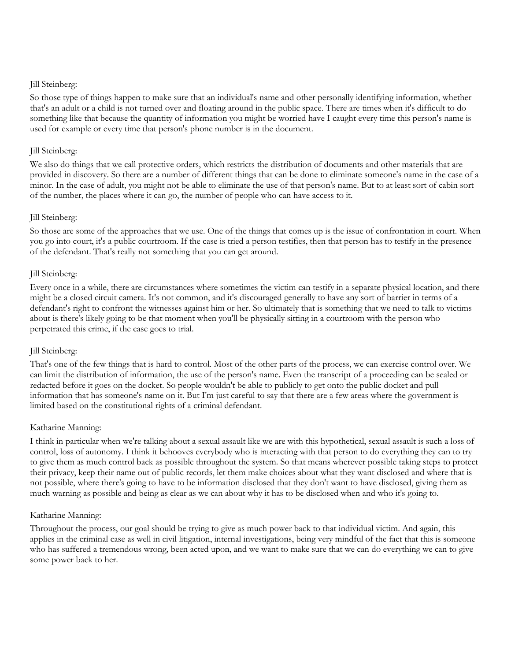So those type of things happen to make sure that an individual's name and other personally identifying information, whether that's an adult or a child is not turned over and floating around in the public space. There are times when it's difficult to do something like that because the quantity of information you might be worried have I caught every time this person's name is used for example or every time that person's phone number is in the document.

#### Jill Steinberg:

We also do things that we call protective orders, which restricts the distribution of documents and other materials that are provided in discovery. So there are a number of different things that can be done to eliminate someone's name in the case of a minor. In the case of adult, you might not be able to eliminate the use of that person's name. But to at least sort of cabin sort of the number, the places where it can go, the number of people who can have access to it.

#### Jill Steinberg:

So those are some of the approaches that we use. One of the things that comes up is the issue of confrontation in court. When you go into court, it's a public courtroom. If the case is tried a person testifies, then that person has to testify in the presence of the defendant. That's really not something that you can get around.

#### Jill Steinberg:

Every once in a while, there are circumstances where sometimes the victim can testify in a separate physical location, and there might be a closed circuit camera. It's not common, and it's discouraged generally to have any sort of barrier in terms of a defendant's right to confront the witnesses against him or her. So ultimately that is something that we need to talk to victims about is there's likely going to be that moment when you'll be physically sitting in a courtroom with the person who perpetrated this crime, if the case goes to trial.

#### Jill Steinberg:

That's one of the few things that is hard to control. Most of the other parts of the process, we can exercise control over. We can limit the distribution of information, the use of the person's name. Even the transcript of a proceeding can be sealed or redacted before it goes on the docket. So people wouldn't be able to publicly to get onto the public docket and pull information that has someone's name on it. But I'm just careful to say that there are a few areas where the government is limited based on the constitutional rights of a criminal defendant.

#### Katharine Manning:

I think in particular when we're talking about a sexual assault like we are with this hypothetical, sexual assault is such a loss of control, loss of autonomy. I think it behooves everybody who is interacting with that person to do everything they can to try to give them as much control back as possible throughout the system. So that means wherever possible taking steps to protect their privacy, keep their name out of public records, let them make choices about what they want disclosed and where that is not possible, where there's going to have to be information disclosed that they don't want to have disclosed, giving them as much warning as possible and being as clear as we can about why it has to be disclosed when and who it's going to.

#### Katharine Manning:

Throughout the process, our goal should be trying to give as much power back to that individual victim. And again, this applies in the criminal case as well in civil litigation, internal investigations, being very mindful of the fact that this is someone who has suffered a tremendous wrong, been acted upon, and we want to make sure that we can do everything we can to give some power back to her.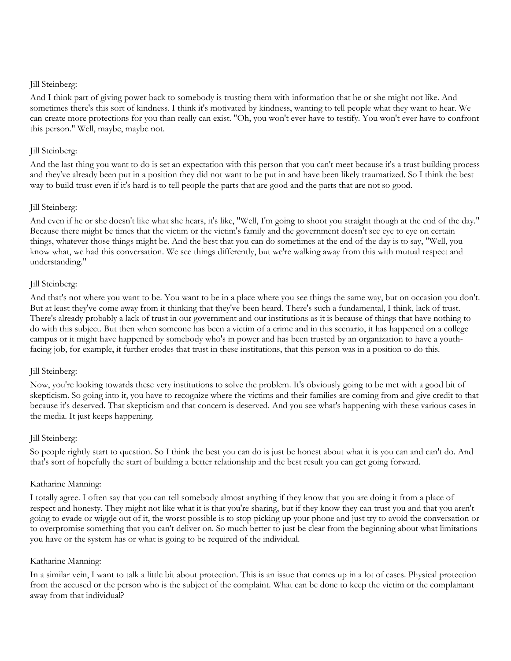And I think part of giving power back to somebody is trusting them with information that he or she might not like. And sometimes there's this sort of kindness. I think it's motivated by kindness, wanting to tell people what they want to hear. We can create more protections for you than really can exist. "Oh, you won't ever have to testify. You won't ever have to confront this person." Well, maybe, maybe not.

## Jill Steinberg:

And the last thing you want to do is set an expectation with this person that you can't meet because it's a trust building process and they've already been put in a position they did not want to be put in and have been likely traumatized. So I think the best way to build trust even if it's hard is to tell people the parts that are good and the parts that are not so good.

## Jill Steinberg:

And even if he or she doesn't like what she hears, it's like, "Well, I'm going to shoot you straight though at the end of the day." Because there might be times that the victim or the victim's family and the government doesn't see eye to eye on certain things, whatever those things might be. And the best that you can do sometimes at the end of the day is to say, "Well, you know what, we had this conversation. We see things differently, but we're walking away from this with mutual respect and understanding."

#### Jill Steinberg:

And that's not where you want to be. You want to be in a place where you see things the same way, but on occasion you don't. But at least they've come away from it thinking that they've been heard. There's such a fundamental, I think, lack of trust. There's already probably a lack of trust in our government and our institutions as it is because of things that have nothing to do with this subject. But then when someone has been a victim of a crime and in this scenario, it has happened on a college campus or it might have happened by somebody who's in power and has been trusted by an organization to have a youthfacing job, for example, it further erodes that trust in these institutions, that this person was in a position to do this.

## Jill Steinberg:

Now, you're looking towards these very institutions to solve the problem. It's obviously going to be met with a good bit of skepticism. So going into it, you have to recognize where the victims and their families are coming from and give credit to that because it's deserved. That skepticism and that concern is deserved. And you see what's happening with these various cases in the media. It just keeps happening.

#### Jill Steinberg:

So people rightly start to question. So I think the best you can do is just be honest about what it is you can and can't do. And that's sort of hopefully the start of building a better relationship and the best result you can get going forward.

#### Katharine Manning:

I totally agree. I often say that you can tell somebody almost anything if they know that you are doing it from a place of respect and honesty. They might not like what it is that you're sharing, but if they know they can trust you and that you aren't going to evade or wiggle out of it, the worst possible is to stop picking up your phone and just try to avoid the conversation or to overpromise something that you can't deliver on. So much better to just be clear from the beginning about what limitations you have or the system has or what is going to be required of the individual.

#### Katharine Manning:

In a similar vein, I want to talk a little bit about protection. This is an issue that comes up in a lot of cases. Physical protection from the accused or the person who is the subject of the complaint. What can be done to keep the victim or the complainant away from that individual?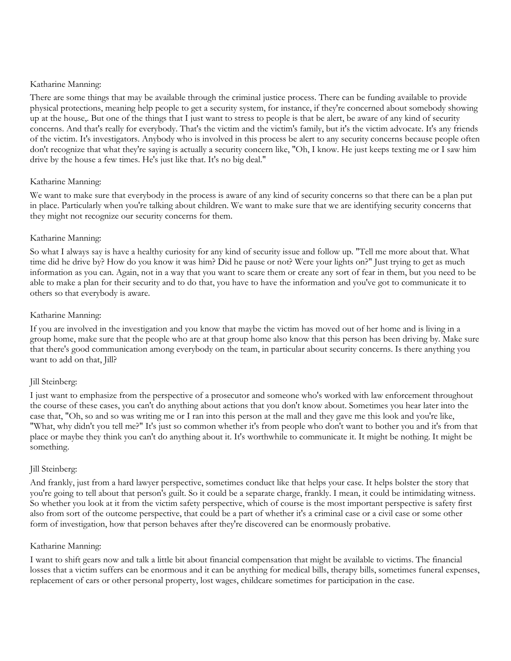There are some things that may be available through the criminal justice process. There can be funding available to provide physical protections, meaning help people to get a security system, for instance, if they're concerned about somebody showing up at the house,. But one of the things that I just want to stress to people is that be alert, be aware of any kind of security concerns. And that's really for everybody. That's the victim and the victim's family, but it's the victim advocate. It's any friends of the victim. It's investigators. Anybody who is involved in this process be alert to any security concerns because people often don't recognize that what they're saying is actually a security concern like, "Oh, I know. He just keeps texting me or I saw him drive by the house a few times. He's just like that. It's no big deal."

#### Katharine Manning:

We want to make sure that everybody in the process is aware of any kind of security concerns so that there can be a plan put in place. Particularly when you're talking about children. We want to make sure that we are identifying security concerns that they might not recognize our security concerns for them.

#### Katharine Manning:

So what I always say is have a healthy curiosity for any kind of security issue and follow up. "Tell me more about that. What time did he drive by? How do you know it was him? Did he pause or not? Were your lights on?" Just trying to get as much information as you can. Again, not in a way that you want to scare them or create any sort of fear in them, but you need to be able to make a plan for their security and to do that, you have to have the information and you've got to communicate it to others so that everybody is aware.

## Katharine Manning:

If you are involved in the investigation and you know that maybe the victim has moved out of her home and is living in a group home, make sure that the people who are at that group home also know that this person has been driving by. Make sure that there's good communication among everybody on the team, in particular about security concerns. Is there anything you want to add on that, Jill?

## Jill Steinberg:

I just want to emphasize from the perspective of a prosecutor and someone who's worked with law enforcement throughout the course of these cases, you can't do anything about actions that you don't know about. Sometimes you hear later into the case that, "Oh, so and so was writing me or I ran into this person at the mall and they gave me this look and you're like, "What, why didn't you tell me?" It's just so common whether it's from people who don't want to bother you and it's from that place or maybe they think you can't do anything about it. It's worthwhile to communicate it. It might be nothing. It might be something.

## Jill Steinberg:

And frankly, just from a hard lawyer perspective, sometimes conduct like that helps your case. It helps bolster the story that you're going to tell about that person's guilt. So it could be a separate charge, frankly. I mean, it could be intimidating witness. So whether you look at it from the victim safety perspective, which of course is the most important perspective is safety first also from sort of the outcome perspective, that could be a part of whether it's a criminal case or a civil case or some other form of investigation, how that person behaves after they're discovered can be enormously probative.

#### Katharine Manning:

I want to shift gears now and talk a little bit about financial compensation that might be available to victims. The financial losses that a victim suffers can be enormous and it can be anything for medical bills, therapy bills, sometimes funeral expenses, replacement of cars or other personal property, lost wages, childcare sometimes for participation in the case.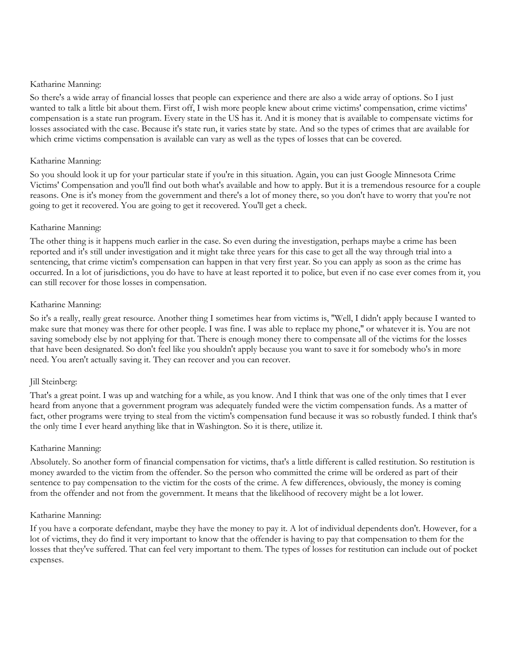So there's a wide array of financial losses that people can experience and there are also a wide array of options. So I just wanted to talk a little bit about them. First off, I wish more people knew about crime victims' compensation, crime victims' compensation is a state run program. Every state in the US has it. And it is money that is available to compensate victims for losses associated with the case. Because it's state run, it varies state by state. And so the types of crimes that are available for which crime victims compensation is available can vary as well as the types of losses that can be covered.

## Katharine Manning:

So you should look it up for your particular state if you're in this situation. Again, you can just Google Minnesota Crime Victims' Compensation and you'll find out both what's available and how to apply. But it is a tremendous resource for a couple reasons. One is it's money from the government and there's a lot of money there, so you don't have to worry that you're not going to get it recovered. You are going to get it recovered. You'll get a check.

## Katharine Manning:

The other thing is it happens much earlier in the case. So even during the investigation, perhaps maybe a crime has been reported and it's still under investigation and it might take three years for this case to get all the way through trial into a sentencing, that crime victim's compensation can happen in that very first year. So you can apply as soon as the crime has occurred. In a lot of jurisdictions, you do have to have at least reported it to police, but even if no case ever comes from it, you can still recover for those losses in compensation.

## Katharine Manning:

So it's a really, really great resource. Another thing I sometimes hear from victims is, "Well, I didn't apply because I wanted to make sure that money was there for other people. I was fine. I was able to replace my phone," or whatever it is. You are not saving somebody else by not applying for that. There is enough money there to compensate all of the victims for the losses that have been designated. So don't feel like you shouldn't apply because you want to save it for somebody who's in more need. You aren't actually saving it. They can recover and you can recover.

## Jill Steinberg:

That's a great point. I was up and watching for a while, as you know. And I think that was one of the only times that I ever heard from anyone that a government program was adequately funded were the victim compensation funds. As a matter of fact, other programs were trying to steal from the victim's compensation fund because it was so robustly funded. I think that's the only time I ever heard anything like that in Washington. So it is there, utilize it.

## Katharine Manning:

Absolutely. So another form of financial compensation for victims, that's a little different is called restitution. So restitution is money awarded to the victim from the offender. So the person who committed the crime will be ordered as part of their sentence to pay compensation to the victim for the costs of the crime. A few differences, obviously, the money is coming from the offender and not from the government. It means that the likelihood of recovery might be a lot lower.

## Katharine Manning:

If you have a corporate defendant, maybe they have the money to pay it. A lot of individual dependents don't. However, for a lot of victims, they do find it very important to know that the offender is having to pay that compensation to them for the losses that they've suffered. That can feel very important to them. The types of losses for restitution can include out of pocket expenses.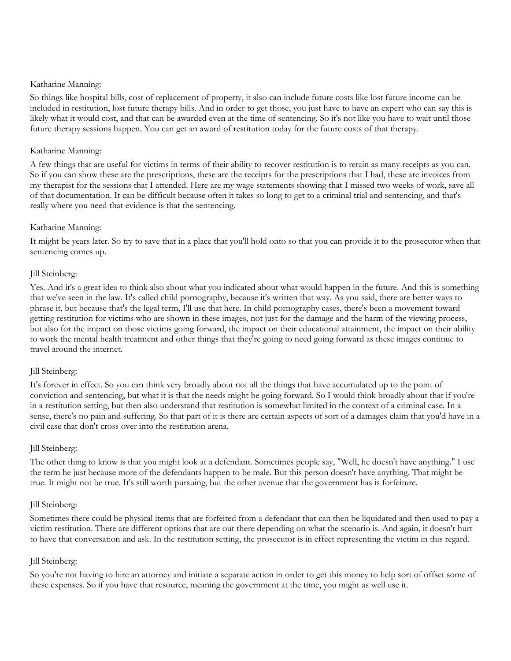So things like hospital bills, cost of replacement of property, it also can include future costs like lost future income can be included in restitution, lost future therapy bills. And in order to get those, you just have to have an expert who can say this is likely what it would cost, and that can be awarded even at the time of sentencing. So it's not like you have to wait until those future therapy sessions happen. You can get an award of restitution today for the future costs of that therapy.

## Katharine Manning:

A few things that are useful for victims in terms of their ability to recover restitution is to retain as many receipts as you can. So if you can show these are the prescriptions, these are the receipts for the prescriptions that I had, these are invoices from my therapist for the sessions that I attended. Here are my wage statements showing that I missed two weeks of work, save all of that documentation. It can be difficult because often it takes so long to get to a criminal trial and sentencing, and that's really where you need that evidence is that the sentencing.

## Katharine Manning:

It might be years later. So try to save that in a place that you'll hold onto so that you can provide it to the prosecutor when that sentencing comes up.

## Jill Steinberg:

Yes. And it's a great idea to think also about what you indicated about what would happen in the future. And this is something that we've seen in the law. It's called child pornography, because it's written that way. As you said, there are better ways to phrase it, but because that's the legal term, I'll use that here. In child pornography cases, there's been a movement toward getting restitution for victims who are shown in these images, not just for the damage and the harm of the viewing process, but also for the impact on those victims going forward, the impact on their educational attainment, the impact on their ability to work the mental health treatment and other things that they're going to need going forward as these images continue to travel around the internet.

## Jill Steinberg:

It's forever in effect. So you can think very broadly about not all the things that have accumulated up to the point of conviction and sentencing, but what it is that the needs might be going forward. So I would think broadly about that if you're in a restitution setting, but then also understand that restitution is somewhat limited in the context of a criminal case. In a sense, there's no pain and suffering. So that part of it is there are certain aspects of sort of a damages claim that you'd have in a civil case that don't cross over into the restitution arena.

## Jill Steinberg:

The other thing to know is that you might look at a defendant. Sometimes people say, "Well, he doesn't have anything." I use the term he just because more of the defendants happen to be male. But this person doesn't have anything. That might be true. It might not be true. It's still worth pursuing, but the other avenue that the government has is forfeiture.

## Jill Steinberg:

Sometimes there could be physical items that are forfeited from a defendant that can then be liquidated and then used to pay a victim restitution. There are different options that are out there depending on what the scenario is. And again, it doesn't hurt to have that conversation and ask. In the restitution setting, the prosecutor is in effect representing the victim in this regard.

## Jill Steinberg:

So you're not having to hire an attorney and initiate a separate action in order to get this money to help sort of offset some of these expenses. So if you have that resource, meaning the government at the time, you might as well use it.